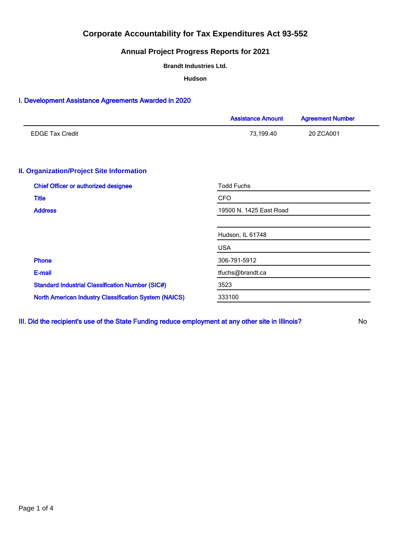## **Annual Project Progress Reports for 2021**

**Brandt Industries Ltd.**

**Hudson**

### I. Development Assistance Agreements Awarded in 2020

|                                                              | <b>Assistance Amount</b> | <b>Agreement Number</b> |  |  |  |
|--------------------------------------------------------------|--------------------------|-------------------------|--|--|--|
| <b>EDGE Tax Credit</b>                                       | 73,199.40                | 20 ZCA001               |  |  |  |
|                                                              |                          |                         |  |  |  |
| <b>II. Organization/Project Site Information</b>             |                          |                         |  |  |  |
| <b>Chief Officer or authorized designee</b>                  | <b>Todd Fuchs</b>        |                         |  |  |  |
| <b>Title</b>                                                 | <b>CFO</b>               |                         |  |  |  |
| <b>Address</b>                                               | 19500 N. 1425 East Road  |                         |  |  |  |
|                                                              |                          |                         |  |  |  |
|                                                              | Hudson, IL 61748         |                         |  |  |  |
|                                                              | <b>USA</b>               |                         |  |  |  |
| <b>Phone</b>                                                 | 306-791-5912             |                         |  |  |  |
| E-mail                                                       | tfuchs@brandt.ca         |                         |  |  |  |
| <b>Standard Industrial Classification Number (SIC#)</b>      | 3523                     |                         |  |  |  |
| <b>North American Industry Classification System (NAICS)</b> | 333100                   |                         |  |  |  |
|                                                              |                          |                         |  |  |  |

III. Did the recipient's use of the State Funding reduce employment at any other site in Illinois? No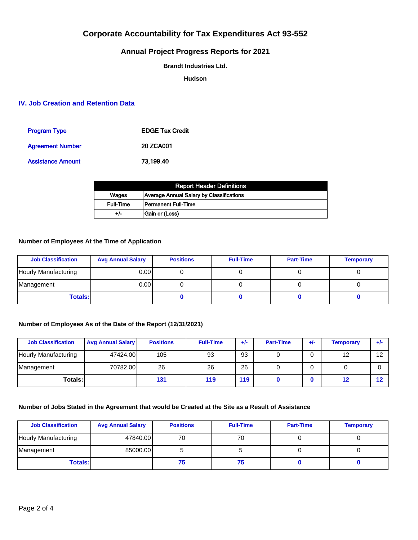## **Annual Project Progress Reports for 2021**

**Brandt Industries Ltd.**

**Hudson**

### **IV. Job Creation and Retention Data**

| <b>Program Type</b>      | <b>EDGE Tax Credit</b> |
|--------------------------|------------------------|
| <b>Agreement Number</b>  | 20 ZCA001              |
| <b>Assistance Amount</b> | 73.199.40              |

| <b>Report Header Definitions</b> |                                          |  |  |  |
|----------------------------------|------------------------------------------|--|--|--|
| Wages                            | Average Annual Salary by Classifications |  |  |  |
| <b>Full-Time</b>                 | l Permanent Full-Time                    |  |  |  |
| +/-                              | Gain or (Loss)                           |  |  |  |

### **Number of Employees At the Time of Application**

| <b>Job Classification</b> | <b>Avg Annual Salary</b> | <b>Positions</b> | <b>Full-Time</b> | <b>Part-Time</b> | <b>Temporary</b> |
|---------------------------|--------------------------|------------------|------------------|------------------|------------------|
| Hourly Manufacturing      | 0.00 l                   |                  |                  |                  |                  |
| Management                | 0.00 l                   |                  |                  |                  |                  |
| <b>Totals:</b>            |                          |                  |                  |                  |                  |

### **Number of Employees As of the Date of the Report (12/31/2021)**

| <b>Job Classification</b> | <b>Avg Annual Salary</b> | <b>Positions</b> | <b>Full-Time</b> | $+/-$ | <b>Part-Time</b> | $+/-$ | Temporary | ÷ŀ |
|---------------------------|--------------------------|------------------|------------------|-------|------------------|-------|-----------|----|
| Hourly Manufacturing      | 47424.00                 | 105              | 93               | 93    |                  | 0     | 12        | 12 |
| Management                | 70782.00                 | 26               | 26               | 26    |                  | 0     |           |    |
| Totals: I                 |                          | 131              | 119              | 119   |                  |       | 12        | 12 |

### **Number of Jobs Stated in the Agreement that would be Created at the Site as a Result of Assistance**

| <b>Job Classification</b> | <b>Avg Annual Salary</b> | <b>Positions</b> | <b>Full-Time</b> | <b>Part-Time</b> | <b>Temporary</b> |
|---------------------------|--------------------------|------------------|------------------|------------------|------------------|
| Hourly Manufacturing      | 47840.00                 | 70               | 70               |                  |                  |
| Management                | 85000.00                 |                  |                  |                  |                  |
| Totals: I                 |                          | 75               |                  |                  |                  |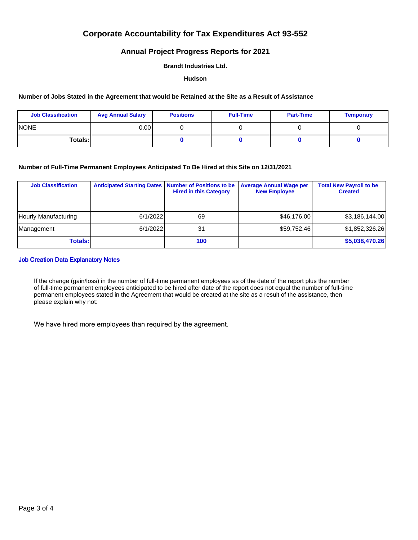### **Annual Project Progress Reports for 2021**

#### **Brandt Industries Ltd.**

#### **Hudson**

#### **Number of Jobs Stated in the Agreement that would be Retained at the Site as a Result of Assistance**

| <b>Job Classification</b> | <b>Avg Annual Salary</b> | <b>Positions</b> | <b>Full-Time</b> | <b>Part-Time</b> | <b>Temporary</b> |
|---------------------------|--------------------------|------------------|------------------|------------------|------------------|
| <b>INONE</b>              | 0.00 l                   |                  |                  |                  |                  |
| Totals: I                 |                          |                  |                  |                  |                  |

#### **Number of Full-Time Permanent Employees Anticipated To Be Hired at this Site on 12/31/2021**

| <b>Job Classification</b> | Anticipated Starting Dates   Number of Positions to be | <b>Hired in this Category</b> | <b>Average Annual Wage per</b><br><b>New Employee</b> | <b>Total New Payroll to be</b><br><b>Created</b> |
|---------------------------|--------------------------------------------------------|-------------------------------|-------------------------------------------------------|--------------------------------------------------|
| Hourly Manufacturing      | 6/1/2022                                               | 69                            | \$46,176,00                                           | \$3,186,144.00                                   |
| Management                | 6/1/2022                                               | 31                            | \$59,752.46                                           | \$1,852,326.26                                   |
| Totals: I                 |                                                        | 100                           |                                                       | \$5,038,470.26                                   |

#### Job Creation Data Explanatory Notes

If the change (gain/loss) in the number of full-time permanent employees as of the date of the report plus the number of full-time permanent employees anticipated to be hired after date of the report does not equal the number of full-time permanent employees stated in the Agreement that would be created at the site as a result of the assistance, then please explain why not:

We have hired more employees than required by the agreement.